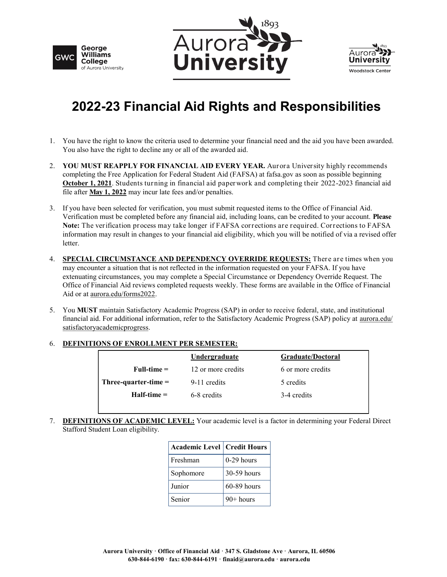





## **2022-23 Financial Aid Rights and Responsibilities**

- 1. You have the right to know the criteria used to determine your financial need and the aid you have been awarded. You also have the right to decline any or all of the awarded aid.
- 2. **YOU MUST REAPPLY FOR FINANCIAL AID EVERY YEAR.** Aurora University highly recommends completing the Free Application for Federal Student Aid (FAFSA) at fafsa.gov as soon as possible beginning **October 1, 2021**. Students turning in financial aid paper work and completing their 2022-2023 financial aid file after **May 1, 2022** may incur late fees and/or penalties.
- 3. If you have been selected for verification, you must submit requested items to the Office of Financial Aid. Verification must be completed before any financial aid, including loans, can be credited to your account. **Please Note:** The verification process may take longer if FAFSA corrections are required. Corrections to FAFSA information may result in changes to your financial aid eligibility, which you will be notified of via a revised offer letter.
- 4. **SPECIAL CIRCUMSTANCE AND DEPENDENCY OVERRIDE REQUESTS:** Ther e are times when you may encounter a situation that is not reflected in the information requested on your FAFSA. If you have extenuating circumstances, you may complete a Special Circumstance or Dependency Override Request. The Office of Financial Aid reviews completed requests weekly. These forms are available in the Office of Financial Aid or at aurora.edu/forms2022.
- 5. You **MUST** maintain Satisfactory Academic Progress (SAP) in order to receive federal, state, and institutional financial aid. For additional information, refer to the Satisfactory Academic Progress (SAP) policy at aurora.edu/ satisfactoryacademicprogress.

## 6. **DEFINITIONS OF ENROLLMENT PER SEMESTER:**

|                        | Undergraduate      | Graduate/Doctoral |
|------------------------|--------------------|-------------------|
| $Full-time =$          | 12 or more credits | 6 or more credits |
| Three-quarter-time $=$ | 9-11 credits       | 5 credits         |
| $H$ alf-time =         | 6-8 credits        | 3-4 credits       |
|                        |                    |                   |

7. **DEFINITIONS OF ACADEMIC LEVEL:** Your academic level is a factor in determining your Federal Direct Stafford Student Loan eligibility.

| <b>Academic Level   Credit Hours</b> |               |  |
|--------------------------------------|---------------|--|
| Freshman                             | 0-29 hours    |  |
| Sophomore                            | 30-59 hours   |  |
| Junior                               | $60-89$ hours |  |
| Senior                               | $90+$ hours   |  |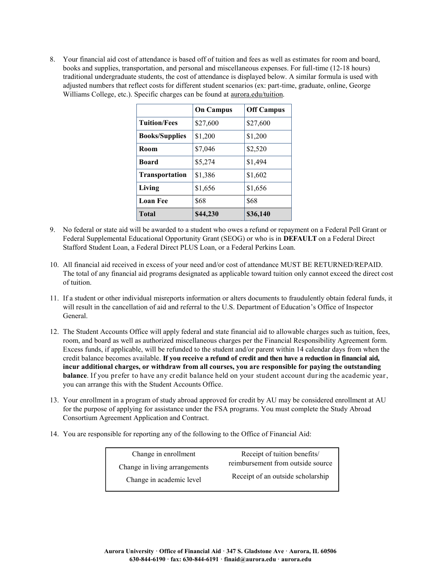8. Your financial aid cost of attendance is based off of tuition and fees as well as estimates for room and board, books and supplies, transportation, and personal and miscellaneous expenses. For full-time (12-18 hours) traditional undergraduate students, the cost of attendance is displayed below. A similar formula is used with adjusted numbers that reflect costs for different student scenarios (ex: part-time, graduate, online, George Williams College, etc.). Specific charges can be found at aurora.edu/tuition.

|                       | <b>On Campus</b> | <b>Off Campus</b> |
|-----------------------|------------------|-------------------|
| <b>Tuition/Fees</b>   | \$27,600         | \$27,600          |
| <b>Books/Supplies</b> | \$1,200          | \$1,200           |
| Room                  | \$7,046          | \$2,520           |
| <b>Board</b>          | \$5,274          | \$1,494           |
| <b>Transportation</b> | \$1,386          | \$1,602           |
| Living                | \$1,656          | \$1,656           |
| <b>Loan Fee</b>       | \$68             | \$68              |
| <b>Total</b>          | \$44,230         | \$36,140          |

- 9. No federal or state aid will be awarded to a student who owes a refund or repayment on a Federal Pell Grant or Federal Supplemental Educational Opportunity Grant (SEOG) or who is in **DEFAULT** on a Federal Direct Stafford Student Loan, a Federal Direct PLUS Loan, or a Federal Perkins Loan.
- 10. All financial aid received in excess of your need and/or cost of attendance MUST BE RETURNED/REPAID. The total of any financial aid programs designated as applicable toward tuition only cannot exceed the direct cost of tuition.
- 11. If a student or other individual misreports information or alters documents to fraudulently obtain federal funds, it will result in the cancellation of aid and referral to the U.S. Department of Education's Office of Inspector General.
- 12. The Student Accounts Office will apply federal and state financial aid to allowable charges such as tuition, fees, room, and board as well as authorized miscellaneous charges per the Financial Responsibility Agreement form. Excess funds, if applicable, will be refunded to the student and/or parent within 14 calendar days from when the credit balance becomes available. **If you receive a refund of credit and then have a reduction in financial aid, incur additional charges, or withdraw from all courses, you are responsible for paying the outstanding balance**. If you prefer to have any credit balance held on your student account during the academic year, you can arrange this with the Student Accounts Office.
- 13. Your enrollment in a program of study abroad approved for credit by AU may be considered enrollment at AU for the purpose of applying for assistance under the FSA programs. You must complete the Study Abroad Consortium Agreement Application and Contract.
- 14. You are responsible for reporting any of the following to the Office of Financial Aid:

| Change in enrollment          | Receipt of tuition benefits/      |  |
|-------------------------------|-----------------------------------|--|
| Change in living arrangements | reimbursement from outside source |  |
| Change in academic level      | Receipt of an outside scholarship |  |